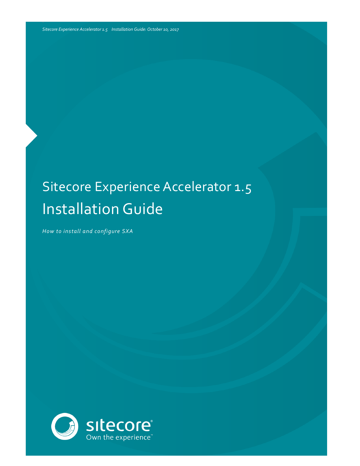# Sitecore Experience Accelerator 1.5 Installation Guide

*How to install and configure SXA*

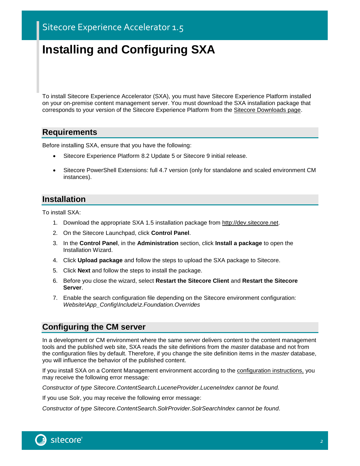## **Installing and Configuring SXA**

To install Sitecore Experience Accelerator (SXA), you must have Sitecore Experience Platform installed on your on-premise content management server. You must download the SXA installation package that corresponds to your version of the Sitecore Experience Platform from th[e Sitecore Downloads page.](http://dev.sitecore.net/)

#### **Requirements**

Before installing SXA, ensure that you have the following:

- Sitecore Experience Platform 8.2 Update 5 or Sitecore 9 initial release.
- Sitecore PowerShell Extensions: full 4.7 version (only for standalone and scaled environment CM instances).

#### **Installation**

To install SXA:

- 1. Download the appropriate SXA 1.5 installation package from [http://dev.sitecore.net.](http://dev.sitecore.net/)
- 2. On the Sitecore Launchpad, click **Control Panel**.
- 3. In the **Control Panel**, in the **Administration** section, click **Install a package** to open the Installation Wizard.
- 4. Click **Upload package** and follow the steps to upload the SXA package to Sitecore.
- 5. Click **Next** and follow the steps to install the package.
- 6. Before you close the wizard, select **Restart the Sitecore Client** and **Restart the Sitecore Server**.
- 7. Enable the search configuration file depending on the Sitecore environment configuration: *Website\App\_Config\Include\z.Foundation.Overrides*

#### **Configuring the CM server**

In a development or CM environment where the same server delivers content to the content management tools and the published web site, SXA reads the site definitions from the *master* database and not from the configuration files by default. Therefore, if you change the site definition items in the *master* database, you will influence the behavior of the published content.

If you install SXA on a Content Management environment according to the [configuration instructions,](https://doc.sitecore.net/sitecore_experience_platform/setting_up_and_maintaining/xdb/configuring_servers/configure_a_content_management_server) you may receive the following error message*:* 

*Constructor of type Sitecore.ContentSearch.LuceneProvider.LuceneIndex cannot be found.*

If you use Solr, you may receive the following error message:

*Constructor of type Sitecore.ContentSearch.SolrProvider.SolrSearchIndex cannot be found.*